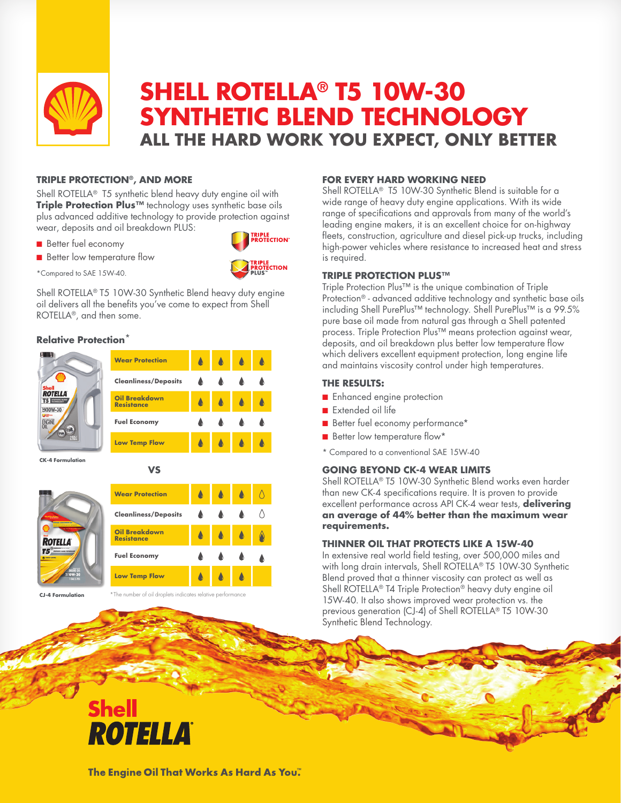

# **SHELL ROTELLA® T5 10W-30 SYNTHETIC BLEND TECHNOLOGY ALL THE HARD WORK YOU EXPECT, ONLY BETTER**

#### **TRIPLE PROTECTION®, AND MORE**

Shell ROTELLA® T5 synthetic blend heavy duty engine oil with **Triple Protection Plus™** technology uses synthetic base oils plus advanced additive technology to provide protection against wear, deposits and oil breakdown PLUS:

- **Better fuel economy**
- **n** Better low temperature flow



\*Compared to SAE 15W-40.

Shell ROTELLA® T5 10W-30 Synthetic Blend heavy duty engine oil delivers all the benefits you've come to expect from Shell ROTELLA®, and then some.

#### **Relative Protection**\*



**Wear Protection**

**Oil Breakdown Resistance Fuel Economy**

**Low Temp Flow**

**Cleanliness/Deposits**

**VS**

**CK-4 Formulation**



**CJ-4 Formulation**

The number of oil droplets indicates relative performance

٨

#### **FOR EVERY HARD WORKING NEED**

Shell ROTELLA<sup>®</sup> T5 10W-30 Synthetic Blend is suitable for a wide range of heavy duty engine applications. With its wide range of specifications and approvals from many of the world's leading engine makers, it is an excellent choice for on-highway fleets, construction, agriculture and diesel pick-up trucks, including high-power vehicles where resistance to increased heat and stress is required.

#### **TRIPLE PROTECTION PLUS™**

Triple Protection Plus™ is the unique combination of Triple Protection® - advanced additive technology and synthetic base oils including Shell PurePlus™ technology. Shell PurePlus™ is a 99.5% pure base oil made from natural gas through a Shell patented process. Triple Protection Plus™ means protection against wear, deposits, and oil breakdown plus better low temperature flow which delivers excellent equipment protection, long engine life and maintains viscosity control under high temperatures.

#### **THE RESULTS:**

- **n** Enhanced engine protection
- $\blacksquare$  Extended oil life
- Better fuel economy performance\*
- Better low temperature flow\*
- \* Compared to a conventional SAE 15W-40

# **GOING BEYOND CK-4 WEAR LIMITS**

Shell ROTELLA® T5 10W-30 Synthetic Blend works even harder than new CK-4 specifications require. It is proven to provide excellent performance across API CK-4 wear tests, **delivering an average of 44% better than the maximum wear requirements.** 

#### **THINNER OIL THAT PROTECTS LIKE A 15W-40**

In extensive real world field testing, over 500,000 miles and with long drain intervals, Shell ROTELLA® T5 10W-30 Synthetic Blend proved that a thinner viscosity can protect as well as Shell ROTELLA® T4 Triple Protection® heavy duty engine oil 15W-40. It also shows improved wear protection vs. the previous generation (CJ-4) of Shell ROTELLA® T5 10W-30 Synthetic Blend Technology.

# **Shell** ROTELLA

The Engine Oil That Works As Hard As You."